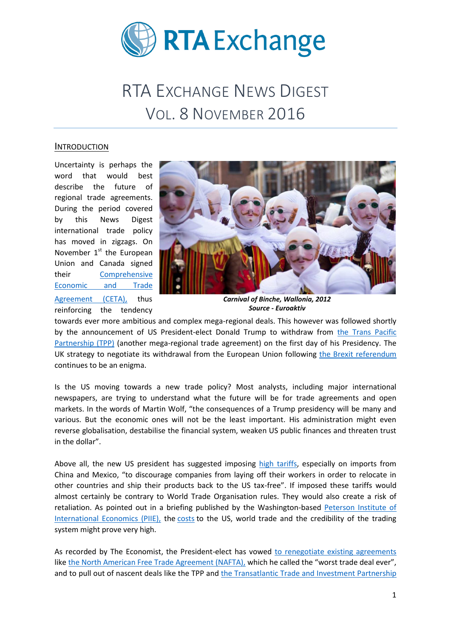

# RTA EXCHANGE NEWS DIGEST VOL. 8 NOVEMBER 2016

#### INTRODUCTION

Uncertainty is perhaps the word that would best describe the future of regional trade agreements. During the period covered by this News Digest international trade policy has moved in zigzags. On November  $1<sup>st</sup>$  the European Union and Canada signed their [Comprehensive](http://ec.europa.eu/trade/policy/in-focus/ceta/index_en.htm) [Economic and Trade](http://ec.europa.eu/trade/policy/in-focus/ceta/index_en.htm)  [Agreement \(CETA\),](http://ec.europa.eu/trade/policy/in-focus/ceta/index_en.htm) thus reinforcing the tendency



*Carnival of Binche, Wallonia, 2012 Source - Euroaktiv*

towards ever more ambitious and complex mega-regional deals. This however was followed shortly by the announcement of US President-elect Donald Trump to withdraw from [the Trans Pacific](https://ustr.gov/tpp/)  [Partnership \(TPP\)](https://ustr.gov/tpp/) (another mega-regional trade agreement) on the first day of his Presidency. The UK strategy to negotiate its withdrawal from the European Union following [the Brexit referendum](http://www.bbc.com/news/uk-politics-32810887) continues to be an enigma.

Is the US moving towards a new trade policy? Most analysts, including major international newspapers, are trying to understand what the future will be for trade agreements and open markets. In the words of Martin Wolf, "the consequences of a Trump presidency will be many and various. But the economic ones will not be the least important. His administration might even reverse globalisation, destabilise the financial system, weaken US public finances and threaten trust in the dollar".

Above all, the new US president has suggested imposing [high tariffs,](http://www.npr.org/sections/thetwo-way/2016/11/09/501464785/three-ways-president-elect-trump-may-shake-up-trade-policy) especially on imports from China and Mexico, "to discourage companies from laying off their workers in order to relocate in other countries and ship their products back to the US tax-free". If imposed these tariffs would almost certainly be contrary to World Trade Organisation rules. They would also create a risk of retaliation. As pointed out in a briefing published by the Washington-based [Peterson Institute of](https://piie.com/)  [International Economics \(PIIE\),](https://piie.com/) the [costs](https://piie.com/publications/piie-briefings/assessing-trade-agendas-us-presidential-campaign) to the US, world trade and the credibility of the trading system might prove very high.

As recorded by The Economist, the President-elect has vowed [to renegotiate existing agreements](http://www.economist.com/blogs/graphicdetail/2016/11/daily-chart-9) like [the North American Free Trade Agreement \(NAFTA\),](https://ustr.gov/trade-agreements/free-trade-agreements/north-american-free-trade-agreement-nafta) which he called the "worst trade deal ever", and to pull out of nascent deals like the TPP an[d the Transatlantic Trade and Investment](http://ec.europa.eu/trade/policy/in-focus/ttip/index_en.htm) Partnership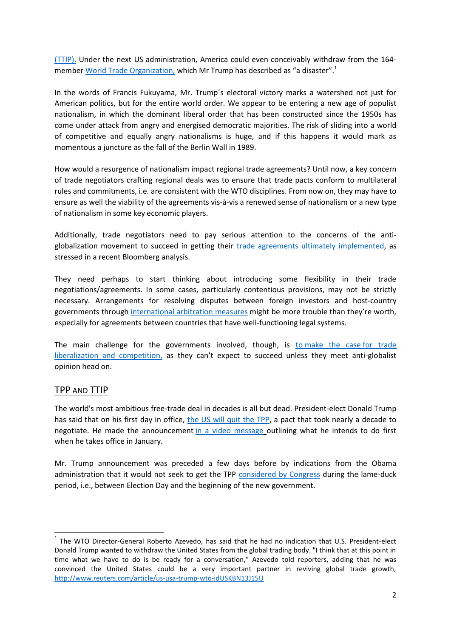[\(TTIP\).](http://ec.europa.eu/trade/policy/in-focus/ttip/index_en.htm) Under the next US administration, America could even conceivably withdraw from the 164 membe[r World Trade Organization,](https://www.wto.org/) which Mr Trump has described as "a disaster".<sup>1</sup>

In the words of Francis Fukuyama, Mr. Trump´s electoral victory marks a watershed not just for American politics, but for the entire world order. We appear to be entering a new age of populist nationalism, in which the dominant liberal order that has been constructed since the 1950s has come under attack from angry and energised democratic majorities. The risk of sliding into a world of competitive and equally angry nationalisms is huge, and if this happens it would mark as momentous a juncture as the fall of the Berlin Wall in 1989.

How would a resurgence of nationalism impact regional trade agreements? Until now, a key concern of trade negotiators crafting regional deals was to ensure that trade pacts conform to multilateral rules and commitments, i.e. are consistent with the WTO disciplines. From now on, they may have to ensure as well the viability of the agreements vis-à-vis a renewed sense of nationalism or a new type of nationalism in some key economic players.

Additionally, trade negotiators need to pay serious attention to the concerns of the antiglobalization movement to succeed in getting their [trade agreements ultimately implemented,](https://www.bloomberg.com/view/articles/2016-11-01/free-trade-s-bleak-outlook) as stressed in a recent Bloomberg analysis.

They need perhaps to start thinking about introducing some flexibility in their trade negotiations/agreements. In some cases, particularly contentious provisions, may not be strictly necessary. Arrangements for resolving disputes between foreign investors and host-country governments through [international arbitration measures](https://piie.com/publications/chapters_preview/7137/11iie7137.pdf) might be more trouble than they're worth, especially for agreements between countries that have well-functioning legal systems.

The main challenge for the governments involved, though, is to [make the case](https://www.bloomberg.com/view/articles/2015-10-05/how-obama-can-sell-trans-pacific-partnership-to-congress) for trade [liberalization and competition,](https://www.bloomberg.com/view/articles/2015-10-05/how-obama-can-sell-trans-pacific-partnership-to-congress) as they can't expect to succeed unless they meet anti-globalist opinion head on.

## TPP AND TTIP

 $\overline{\phantom{a}}$ 

The world's most ambitious free-trade deal in decades is all but dead. President-elect Donald Trump has said that on his first day in office, [the US will quit the TPP,](http://www.bbc.com/news/world-us-canada-38059623) a pact that took nearly a decade to negotiate. He made the announcement [in a video message](https://www.youtube.com/watch?v=7xX_KaStFT8&feature=share) outlining what he intends to do first when he takes office in January.

Mr. Trump announcement was preceded a few days before by indications from the Obama administration that it would not seek to get the TPP [considered by Congress](http://internacional.elpais.com/internacional/2016/11/12/estados_unidos/1478980595_782302.html) during the lame-duck period, i.e., between Election Day and the beginning of the new government.

<sup>&</sup>lt;sup>1</sup> The WTO Director-General Roberto Azevedo, has said that he had no indication that U.S. President-elect Donald Trump wanted to withdraw the United States from the global trading body. "I think that at this point in time what we have to do is be ready for a conversation," Azevedo told reporters, adding that he was convinced the United States could be a very important partner in reviving global trade growth, <http://www.reuters.com/article/us-usa-trump-wto-idUSKBN13J15U>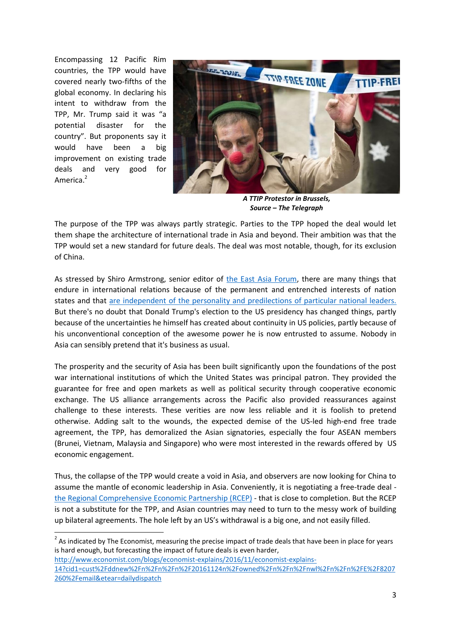Encompassing 12 Pacific Rim countries, the TPP would have covered nearly two-fifths of the global economy. In declaring his intent to withdraw from the TPP, Mr. Trump said it was "a potential disaster for the country". But proponents say it would have been a big improvement on existing trade deals and very good for America.<sup>2</sup>

 $\overline{\phantom{a}}$ 



*A TTIP Protestor in Brussels, Source – The Telegraph*

The purpose of the TPP was always partly strategic. Parties to the TPP hoped the deal would let them shape the architecture of international trade in Asia and beyond. Their ambition was that the TPP would set a new standard for future deals. The deal was most notable, though, for its exclusion of China.

As stressed by Shiro Armstrong, senior editor of [the East Asia Forum,](http://www.eastasiaforum.org/) there are many things that endure in international relations because of the permanent and entrenched interests of nation states and that [are independent of the personality and predilections of particular national leaders.](http://www.eastasiaforum.org/2016/11/28/the-way-forward-in-asia-after-trump/) But there's no doubt that Donald Trump's election to the US presidency has changed things, partly because of the uncertainties he himself has created about continuity in US policies, partly because of his unconventional conception of the awesome power he is now entrusted to assume. Nobody in Asia can sensibly pretend that it's business as usual.

The prosperity and the security of Asia has been built significantly upon the foundations of the post war international institutions of which the United States was principal patron. They provided the guarantee for free and open markets as well as political security through cooperative economic exchange. The US alliance arrangements across the Pacific also provided reassurances against challenge to these interests. These verities are now less reliable and it is foolish to pretend otherwise. Adding salt to the wounds, the expected demise of the US-led high-end free trade agreement, the TPP, has demoralized the Asian signatories, especially the four ASEAN members (Brunei, Vietnam, Malaysia and Singapore) who were most interested in the rewards offered by US economic engagement.

Thus, the collapse of the TPP would create a void in Asia, and observers are now looking for China to assume the mantle of economic leadership in Asia. Conveniently, it is negotiating a free-trade deal [the Regional Comprehensive Economic Partnership \(RCEP\)](https://aric.adb.org/fta/regional-comprehensive-economic-partnership) - that is close to completion. But the RCEP is not a substitute for the TPP, and Asian countries may need to turn to the messy work of building up bilateral agreements. The hole left by an US's withdrawal is a big one, and not easily filled.

 $2$  As indicated by The Economist, measuring the precise impact of trade deals that have been in place for years is hard enough, but forecasting the impact of future deals is even harder,

[http://www.economist.com/blogs/economist-explains/2016/11/economist-explains-](http://www.economist.com/blogs/economist-explains/2016/11/economist-explains-14?cid1=cust%2Fddnew%2Fn%2Fn%2Fn%2F20161124n%2Fowned%2Fn%2Fn%2Fnwl%2Fn%2Fn%2FE%2F8207260%2Femail&etear=dailydispatch)[14?cid1=cust%2Fddnew%2Fn%2Fn%2Fn%2F20161124n%2Fowned%2Fn%2Fn%2Fnwl%2Fn%2Fn%2FE%2F8207](http://www.economist.com/blogs/economist-explains/2016/11/economist-explains-14?cid1=cust%2Fddnew%2Fn%2Fn%2Fn%2F20161124n%2Fowned%2Fn%2Fn%2Fnwl%2Fn%2Fn%2FE%2F8207260%2Femail&etear=dailydispatch) [260%2Femail&etear=dailydispatch](http://www.economist.com/blogs/economist-explains/2016/11/economist-explains-14?cid1=cust%2Fddnew%2Fn%2Fn%2Fn%2F20161124n%2Fowned%2Fn%2Fn%2Fnwl%2Fn%2Fn%2FE%2F8207260%2Femail&etear=dailydispatch)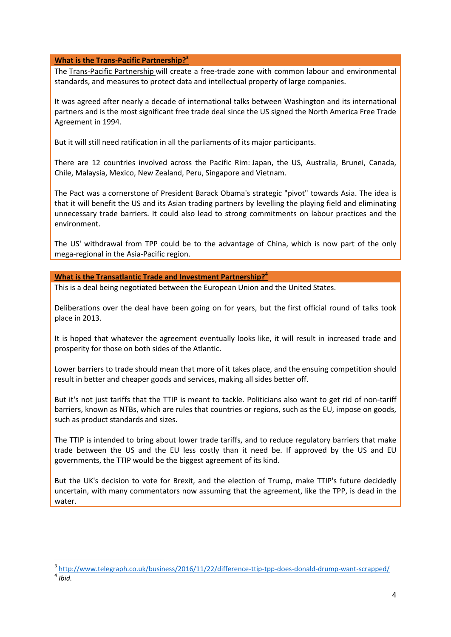#### **What is the Trans-Pacific Partnership?<sup>3</sup>**

The [Trans-Pacific Partnership](https://ustr.gov/tpp/) will create a free-trade zone with common labour and environmental standards, and measures to protect data and intellectual property of large companies.

It was agreed after nearly a decade of international talks between Washington and its international partners and is the most significant free trade deal since the US signed the North America Free Trade Agreement in 1994.

But it will still need ratification in all the parliaments of its major participants.

There are 12 countries involved across the Pacific Rim: Japan, the US, Australia, Brunei, Canada, Chile, Malaysia, Mexico, New Zealand, Peru, Singapore and Vietnam.

The Pact was a cornerstone of President Barack Obama's strategic "pivot" towards Asia. The idea is that it will benefit the US and its Asian trading partners by levelling the playing field and eliminating unnecessary trade barriers. It could also lead to strong commitments on labour practices and the environment.

The US' withdrawal from TPP could be to the advantage of China, which is now part of the only mega-regional in the Asia-Pacific region.

**What is the Transatlantic Trade and Investment Partnership?<sup>4</sup>**

1

This is a deal being negotiated between the European Union and the United States.

Deliberations over the deal have been going on for years, but the first official round of talks took place in 2013.

It is hoped that whatever the agreement eventually looks like, it will result in increased trade and prosperity for those on both sides of the Atlantic.

Lower barriers to trade should mean that more of it takes place, and the ensuing competition should result in better and cheaper goods and services, making all sides better off.

But it's not just tariffs that the TTIP is meant to tackle. Politicians also want to get rid of non-tariff barriers, known as NTBs, which are rules that countries or regions, such as the EU, impose on goods, such as product standards and sizes.

The TTIP is intended to bring about lower trade tariffs, and to reduce regulatory barriers that make trade between the US and the EU less costly than it need be. If approved by the US and EU governments, the TTIP would be the biggest agreement of its kind.

But the UK's decision to vote for Brexit, and the election of Trump, make TTIP's future decidedly uncertain, with many commentators now assuming that the agreement, like the TPP, is dead in the water.

<sup>&</sup>lt;sup>3</sup> <http://www.telegraph.co.uk/business/2016/11/22/difference-ttip-tpp-does-donald-drump-want-scrapped/> 4 *Ibid.*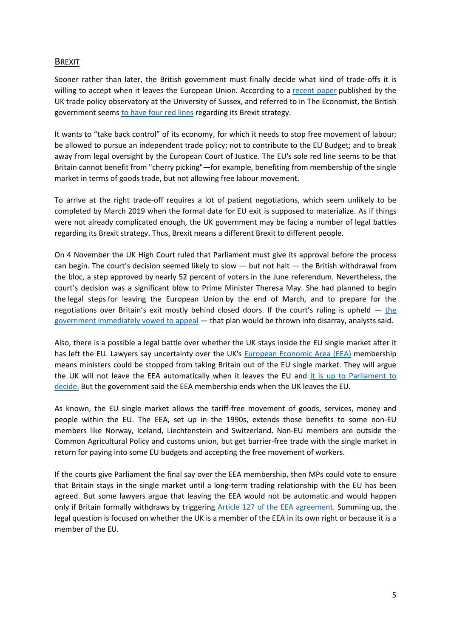## BREXIT

Sooner rather than later, the British government must finally decide what kind of trade-offs it is willing to accept when it leaves the European Union. According to a [recent](https://www.sussex.ac.uk/webteam/gateway/file.php?name=uktpo-briefing-paper-5.pdf&site=18) paper published by the UK trade policy observatory at the University of Sussex, and referred to in The Economist, the British government seems [to have four red lines](http://www.economist.com/blogs/buttonwood/2016/11/trade-offs) regarding its Brexit strategy.

It wants to "take back control" of its economy, for which it needs to stop free movement of labour; be allowed to pursue an independent trade policy; not to contribute to the EU Budget; and to break away from legal oversight by the European Court of Justice. The EU's sole red line seems to be that Britain cannot benefit from "cherry picking"—for example, benefiting from membership of the single market in terms of goods trade, but not allowing free labour movement.

To arrive at the right trade-off requires a lot of patient negotiations, which seem unlikely to be completed by March 2019 when the formal date for EU exit is supposed to materialize. As if things were not already complicated enough, the UK government may be facing a number of legal battles regarding its Brexit strategy. Thus, Brexit means a different Brexit to different people.

On 4 November the UK High Court [ruled](https://www.judiciary.gov.uk/judgments/r-miller-v-secretary-of-state-for-exiting-the-european-union/) that Parliament must give its approval before the process can begin. The court's decision seemed likely to slow  $-$  but not halt  $-$  the British withdrawal from the bloc, a step approved by [nearly 52 percent of voters](http://www.bbc.com/news/politics/eu_referendum/results) in the June referendum. Nevertheless, the court's decision was a significant blow to Prime Minister Theresa May. She had planned to begin the [legal steps](http://www.nytimes.com/2016/11/04/world/europe/what-is-article-50-brexit-uk.html) for leaving the European Union [by the end of March,](http://www.nytimes.com/2016/10/03/world/europe/brexit-talks-march-theresa-may-britain.html) and to prepare for the negotiations over Britain's exit mostly behind closed doors. If [the](http://www.nytimes.com/2016/11/04/world/europe/uk-brexit-vote-parliament.html?emc=edit_na_20161103&nlid=59885640&ref=headline&_r=1) court's ruling is upheld  $-$  the [government immediately vowed to appeal](http://www.nytimes.com/2016/11/04/world/europe/uk-brexit-vote-parliament.html?emc=edit_na_20161103&nlid=59885640&ref=headline&_r=1) — that plan would be thrown into disarray, analysts said.

Also, there is a possible a legal battle over whether the UK stays inside the EU single market after it has left the EU. Lawyers say uncertainty over the UK's [European Economic Area](http://www.europarl.europa.eu/atyourservice/en/displayFtu.html?ftuId=FTU_6.5.3.html) (EEA) membership means ministers could be stopped from taking Britain out of the EU single market. They will argue the UK will not leave the EEA automatically when it leaves the EU and [it is up to Parliament to](http://www.bbc.com/news/uk-politics-38126899)  [decide.](http://www.bbc.com/news/uk-politics-38126899) But the government said the EEA membership ends when the UK leaves the EU.

As known, the EU single market allows the tariff-free movement of goods, services, money and people within the EU. The EEA, set up in the 1990s, extends those benefits to some non-EU members like Norway, Iceland, Liechtenstein and Switzerland. Non-EU members are outside the Common Agricultural Policy and customs union, but get barrier-free trade with the single market in return for paying into some EU budgets and accepting the free movement of workers.

If the courts give Parliament the final say over the EEA membership, then MPs could vote to ensure that Britain stays in the single market until a long-term trading relationship with the EU has been agreed. But some lawyers argue that leaving the EEA would not be automatic and would happen only if Britain formally withdraws by triggering [Article 127 of the EEA agreement.](http://www.efta.int/media/documents/legal-texts/eea/the-eea-agreement/Main%20Text%20of%20the%20Agreement/EEAagreement.pdf) Summing up, the legal question is focused on whether the UK is a member of the EEA in its own right or because it is a member of the EU.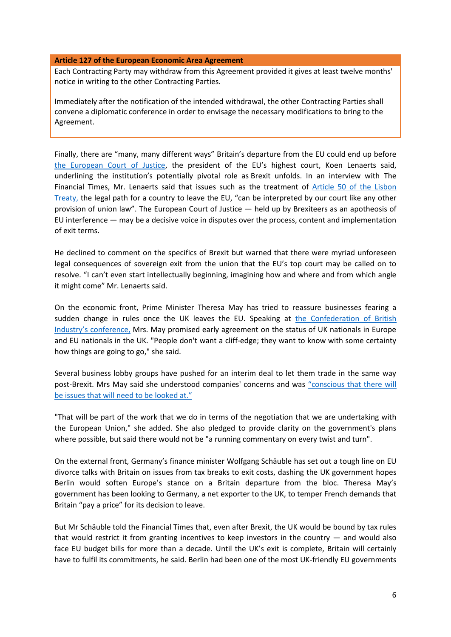#### **Article 127 of the European Economic Area Agreement**

Each Contracting Party may withdraw from this Agreement provided it gives at least twelve months' notice in writing to the other Contracting Parties.

Immediately after the notification of the intended withdrawal, the other Contracting Parties shall convene a diplomatic conference in order to envisage the necessary modifications to bring to the Agreement.

Finally, there are "many, many different ways" Britain's departure from the EU could end up before [the European Court of Justice](http://curia.europa.eu/jcms/jcms/j_6/en/), the president of the EU's highest court, Koen Lenaerts said, underlining the institution's potentially pivotal role as Brexit unfolds. In an interview with The Financial Times, Mr. Lenaerts said that issues such as the treatment of Article 50 [of the Lisbon](http://www.lisbon-treaty.org/wcm/the-lisbon-treaty/treaty-on-European-union-and-comments/title-6-final-provisions/137-article-50.html)  [Treaty,](http://www.lisbon-treaty.org/wcm/the-lisbon-treaty/treaty-on-European-union-and-comments/title-6-final-provisions/137-article-50.html) the legal path for a country to leave the EU, "can be interpreted by our court like any other provision of union law". The European Court of Justice — held up by Brexiteers as an apotheosis of EU interference — may be a decisive voice in disputes over the process, content and implementation of exit terms.

He declined to comment on the specifics of Brexit but warned that there were myriad unforeseen legal consequences of sovereign exit from the union that the EU's top court may be called on to resolve. "I can't even start intellectually beginning, imagining how and where and from which angle it might come" Mr. Lenaerts said.

On the economic front, Prime Minister Theresa May has tried to reassure businesses fearing a sudden change in rules once the UK leaves the EU. Speaking at [the Confederation of British](http://www.cbi.org.uk/news/prime-minister-theresa-may-speaks-at-the-cbi2016-annual-conference/)  Industry's [conference,](http://www.cbi.org.uk/news/prime-minister-theresa-may-speaks-at-the-cbi2016-annual-conference/) Mrs. May promised early agreement on the status of UK nationals in Europe and EU nationals in the UK. "People don't want a cliff-edge; they want to know with some certainty how things are going to go," she said.

Several business lobby groups have pushed for an interim deal to let them trade in the same way post-Brexit. Mrs May said she understood companies' concerns and was "[conscious that there will](http://www.bbc.com/news/business-38044015)  [be issues that will need to be looked at](http://www.bbc.com/news/business-38044015)."

"That will be part of the work that we do in terms of the negotiation that we are undertaking with the European Union," she added. She also pledged to provide clarity on the government's plans where possible, but said there would not be "a running commentary on every twist and turn".

On the external front, Germany's finance minister Wolfgang Schäuble has set out a tough line on EU divorce talks with Britain on issues from tax breaks to exit costs, dashing the UK government hopes Berlin would soften Europe's stance on a Britain departure from the bloc. Theresa May's government has been looking to Germany, a net exporter to the UK, to temper French demands that Britain "pay a price" for its decision to leave.

But Mr Schäuble told the Financial Times that, even after Brexit, the UK would be bound by tax rules that would restrict it from granting incentives to keep investors in the country — and would also face EU budget bills for more than a decade. Until the UK's exit is complete, Britain will certainly have to fulfil its commitments, he said. Berlin had been one of the most UK-friendly EU governments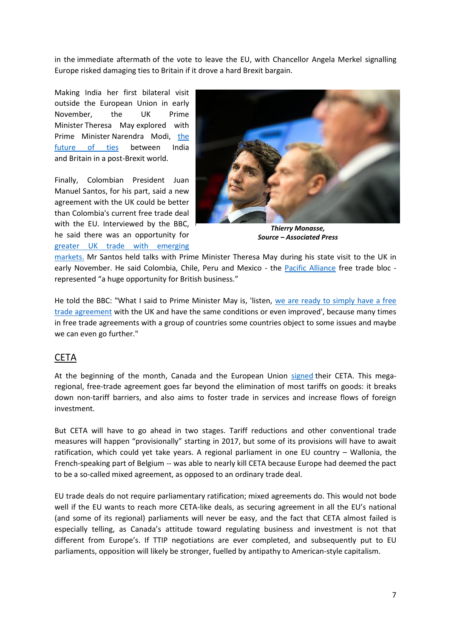in the immediate aftermath of the vote to leave the EU, with Chancellor Angela Merkel signalling Europe risked damaging ties to Britain if it drove a hard Brexit bargain.

Making India her first bilateral visit outside the European Union in early November, the UK Prime Minister Theresa May explored with Prime Minister Narendra Modi, [the](http://timesofindia.indiatimes.com/india/India-UK-to-explore-free-trade-deal-during-Theresa-Mays-trip/articleshow/55235920.cms)  [future of ties](http://timesofindia.indiatimes.com/india/India-UK-to-explore-free-trade-deal-during-Theresa-Mays-trip/articleshow/55235920.cms) between India and Britain in a post-Brexit world.

Finally, Colombian President Juan Manuel Santos, for his part, said a new agreement with the UK could be better than Colombia's current free trade deal with the EU. Interviewed by the BBC, he said there was an opportunity for [greater UK trade with emerging](http://www.bbc.com/news/uk-politics-37886179) 



*Thierry Monasse, Source – Associated Press*

[markets.](http://www.bbc.com/news/uk-politics-37886179) Mr Santos held talks with Prime Minister Theresa May during his state visit to the UK in early November. He said Colombia, Chile, Peru and Mexico - the [Pacific Alliance](https://alianzapacifico.net/en/) free trade bloc represented "a huge opportunity for British business."

He told the BBC: "What I said to Prime Minister May is, 'listen, [we are ready to simply have a free](http://www.bbc.com/news/uk-politics-37886179)  [trade agreement](http://www.bbc.com/news/uk-politics-37886179) with the UK and have the same conditions or even improved', because many times in free trade agreements with a group of countries some countries object to some issues and maybe we can even go further."

# CETA

At the beginning of the month, Canada and the European Union [signed](http://www.bloomberg.com/news/articles/2016-10-30/canada-s-trudeau-poised-to-sign-trade-pact-with-eu-after-delays) their CETA. This megaregional, free-trade agreement goes far beyond the elimination of most tariffs on goods: it breaks down non-tariff barriers, and also aims to foster trade in services and increase flows of foreign investment.

But CETA will have to go ahead in two stages. Tariff reductions and other conventional trade measures will happen "provisionally" starting in 2017, but some of its provisions will have to await ratification, which could yet take years. A regional parliament in one EU country – Wallonia, the French-speaking part of Belgium -- was able to nearly kill CETA because Europe had deemed the pact to be a so-called mixed agreement, as opposed to an ordinary trade deal.

EU trade deals do not require parliamentary ratification; mixed agreements do. This would not bode well if the EU wants to reach more CETA-like deals, as securing agreement in all the EU's national (and some of its regional) parliaments will never be easy, and the fact that CETA almost failed is especially telling, as Canada's attitude toward regulating business and investment is not that different from Europe's. If TTIP negotiations are ever completed, and subsequently put to EU parliaments, opposition will likely be stronger, fuelled by antipathy to American-style capitalism.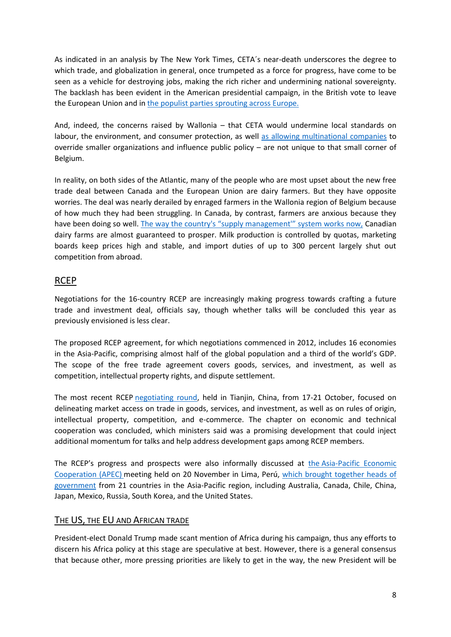As indicated in an analysis by The New York Times, CETA´s near-death underscores the degree to which trade, and globalization in general, once trumpeted as a force for progress, have come to be seen as a vehicle for destroying jobs, making the rich richer and undermining national sovereignty. The backlash has been evident in the American presidential campaign, in the British vote to leave the European Union and i[n the populist parties sprouting across Europe.](http://www.nytimes.com/2016/11/01/opinion/surprise-a-trade-deal-wins-approval.html?_r=0)

And, indeed, the concerns raised by Wallonia – that CETA would undermine local standards on labour, the environment, and consumer protection, as well [as allowing multinational companies](http://www.csmonitor.com/World/2016/1031/EU-Canada-sign-landmark-trade-deal) to override smaller organizations and influence public policy – are not unique to that small corner of Belgium.

In reality, on both sides of the Atlantic, many of the people who are most upset about the new free trade deal between Canada and the European Union are dairy farmers. But they have opposite worries. The deal was nearly derailed by enraged farmers in the Wallonia region of Belgium because of how much they had been struggling. In Canada, by contrast, farmers are anxious because they have been doing so well. The way the country's "supply management" system works now, Canadian dairy farms are almost guaranteed to prosper. Milk production is controlled by quotas, marketing boards keep prices high and stable, and import duties of up to 300 percent largely shut out competition from abroad.

# RCEP

Negotiations for the 16-country RCEP are increasingly making progress towards crafting a future trade and investment deal, officials say, though whether talks will be concluded this year as previously envisioned is less clear.

The proposed RCEP agreement, for which negotiations commenced in 2012, includes 16 economies in the Asia-Pacific, comprising almost half of the global population and a third of the world's GDP. The scope of the free trade agreement covers goods, services, and investment, as well as competition, intellectual property rights, and dispute settlement.

The most recent RCEP [negotiating round,](http://www.mofa.go.jp/press/release/press4e_001302.html) held in Tianjin, China, from 17-21 October, focused on delineating market access on trade in goods, services, and investment, as well as on rules of origin, intellectual property, competition, and e-commerce. The chapter on economic and technical cooperation was concluded, which ministers said was a promising development that could inject additional momentum for talks and help address development gaps among RCEP members.

The RCEP's progress and prospects were also informally discussed at the [Asia-Pacific Economic](http://www.apec.org/About-Us/About-APEC/Mission-Statement.aspx)  [Cooperation \(APEC\)](http://www.apec.org/About-Us/About-APEC/Mission-Statement.aspx) meeting held on 20 November in Lima, Perú, [which brought together heads of](http://www.ictsd.org/bridges-news/bridges/news/rcep-participating-countries-call-for-swift-conclusion-of-negotiations)  [government](http://www.ictsd.org/bridges-news/bridges/news/rcep-participating-countries-call-for-swift-conclusion-of-negotiations) from 21 countries in the Asia-Pacific region, including Australia, Canada, Chile, China, Japan, Mexico, Russia, South Korea, and the United States.

## THE US, THE EU AND AFRICAN TRADE

President-elect Donald Trump made scant mention of Africa during his campaign, thus any efforts to discern his Africa policy at this stage are speculative at best. However, there is a general consensus that because other, more pressing priorities are likely to get in the way, the new President will be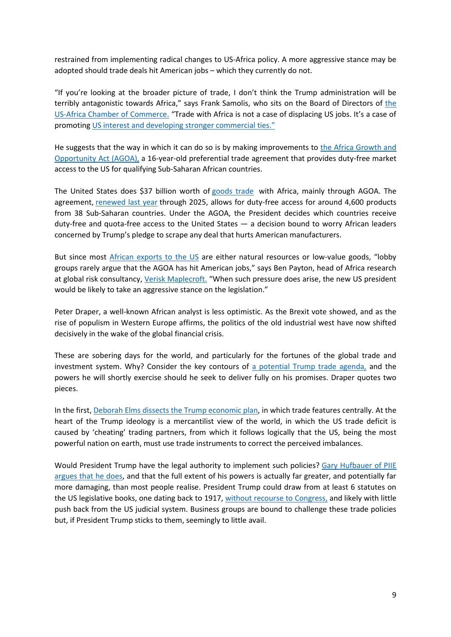restrained from implementing radical changes to US-Africa policy. A more aggressive stance may be adopted should trade deals hit American jobs – which they currently do not.

"If you're looking at the broader picture of trade, I don't think the Trump administration will be terribly antagonistic towards Africa," says Frank Samolis, who sits on [the](http://www.usafricachamber.org/) Board of Directors of the [US-Africa Chamber of Commerce.](http://www.usafricachamber.org/) "Trade with Africa is not a case of displacing US jobs. It's a case of promoting [US interest and developing stronger commercial ties."](http://www.gtreview.com/news/africa/trump-and-africa-reciprocity-will-be-key/)

He suggests that the way in which it can do so is by making improvements to [the Africa Growth and](http://trade.gov/agoa/)  [Opportunity Act \(AGOA\),](http://trade.gov/agoa/) a 16-year-old preferential trade agreement that provides duty-free market access to the US for qualifying Sub-Saharan African countries.

The United States does \$37 billion worth of [goods trade](https://ustr.gov/countries-regions/africa) with Africa, mainly through AGOA. The agreement, [renewed last year](https://agoa.info/news/article/5865-agoa-decoding-for-a-successful-2025-closure.html) through 2025, allows for duty-free access for around 4,600 products from 38 Sub-Saharan countries. Under the AGOA, the President decides which countries receive duty-free and quota-free access to the United States — a decision bound to worry African leaders concerned by Trump's pledge to scrape any deal that hurts American manufacturers.

But since most [African exports to the US](http://qz.com/832721/election-2016-trumps-commitment-to-reverse-the-transpacific-partnership-tpp-could-also-be-a-silver-lining-for-african-trade/) are either natural resources or low-value goods, "lobby groups rarely argue that the AGOA has hit American jobs," says Ben Payton, head of Africa research at global risk consultancy[, Verisk Maplecroft.](https://maplecroft.com/) "When such pressure does arise, the new US president would be likely to take an aggressive stance on the legislation."

Peter Draper, a well-known African analyst is less optimistic. As the Brexit vote showed, and as the rise of populism in Western Europe affirms, the politics of the old industrial west have now shifted decisively in the wake of the global financial crisis.

These are sobering days for the world, and particularly for the fortunes of the global trade and investment system. Why? Consider the key contours of [a potential Trump trade agenda,](http://www.tutwaconsulting.com/implications-of-a-trump-presidency-trade-and-south-africa/) and the powers he will shortly exercise should he seek to deliver fully on his promises. Draper quotes two pieces.

In the first[, Deborah Elms dissects the Trump economic plan,](http://www.asiantradecentre.org/search?q=Trump) in which trade features centrally. At the heart of the Trump ideology is a mercantilist view of the world, in which the US trade deficit is caused by 'cheating' trading partners, from which it follows logically that the US, being the most powerful nation on earth, must use trade instruments to correct the perceived imbalances.

Would President Trump have the legal authority to implement such policies? [Gary Hufbauer of PIIE](https://piie.com/blogs/trade-investment-policy-watch/trump-trade-few-cautions)  [argues that he does,](https://piie.com/blogs/trade-investment-policy-watch/trump-trade-few-cautions) and that the full extent of his powers is actually far greater, and potentially far more damaging, than most people realise. President Trump could draw from at least 6 statutes on the US legislative books, one dating back to 1917, [without recourse to Congress,](https://piie.com/system/files/documents/piieb16-6.pdf) and likely with little push back from the US judicial system. Business groups are bound to challenge these trade policies but, if President Trump sticks to them, seemingly to little avail.